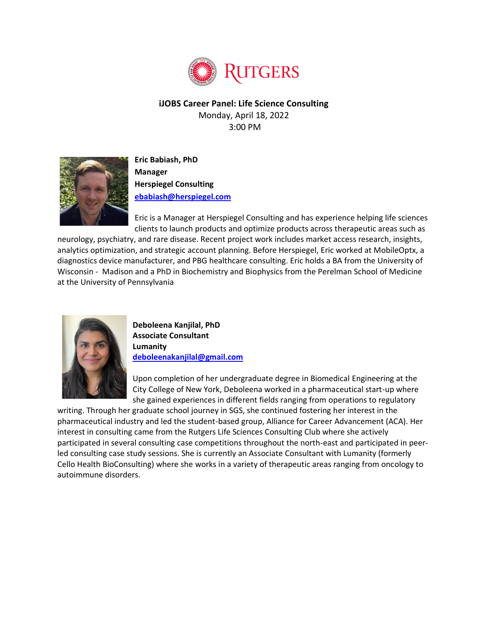

**iJOBS Career Panel: Life Science Consulting** Monday, April 18, 2022 3:00 PM



**Eric Babiash, PhD Manager Herspiegel Consulting [ebabiash@herspiegel.com](mailto:ebabiash@herspiegel.com)**

Eric is a Manager at Herspiegel Consulting and has experience helping life sciences clients to launch products and optimize products across therapeutic areas such as

neurology, psychiatry, and rare disease. Recent project work includes market access research, insights, analytics optimization, and strategic account planning. Before Herspiegel, Eric worked at MobileOptx, a diagnostics device manufacturer, and PBG healthcare consulting. Eric holds a BA from the University of Wisconsin - Madison and a PhD in Biochemistry and Biophysics from the Perelman School of Medicine at the University of Pennsylvania



**Deboleena Kanjilal, PhD Associate Consultant Lumanity [deboleenakanjilal@gmail.com](mailto:deboleenakanjilal@gmail.com)**

Upon completion of her undergraduate degree in Biomedical Engineering at the City College of New York, Deboleena worked in a pharmaceutical start-up where she gained experiences in different fields ranging from operations to regulatory

writing. Through her graduate school journey in SGS, she continued fostering her interest in the pharmaceutical industry and led the student-based group, Alliance for Career Advancement (ACA). Her interest in consulting came from the Rutgers Life Sciences Consulting Club where she actively participated in several consulting case competitions throughout the north-east and participated in peerled consulting case study sessions. She is currently an Associate Consultant with Lumanity (formerly Cello Health BioConsulting) where she works in a variety of therapeutic areas ranging from oncology to autoimmune disorders.